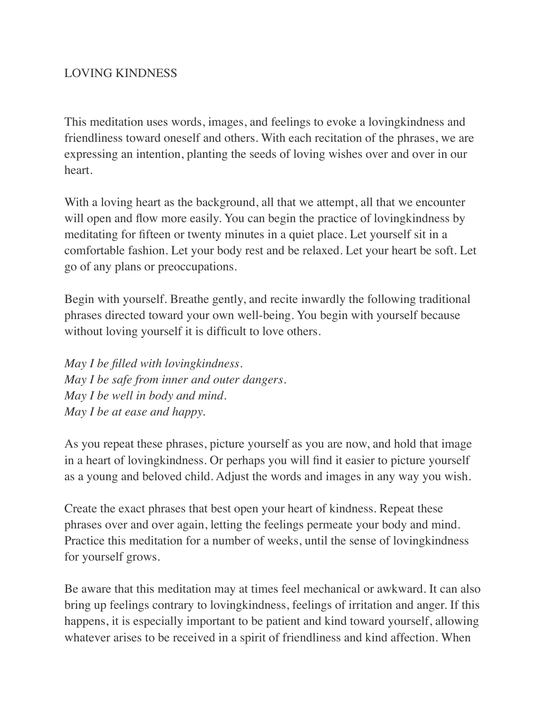## LOVING KINDNESS

This meditation uses words, images, and feelings to evoke a lovingkindness and friendliness toward oneself and others. With each recitation of the phrases, we are expressing an intention, planting the seeds of loving wishes over and over in our heart.

With a loving heart as the background, all that we attempt, all that we encounter will open and flow more easily. You can begin the practice of loving kindness by meditating for fifteen or twenty minutes in a quiet place. Let yourself sit in a comfortable fashion. Let your body rest and be relaxed. Let your heart be soft. Let go of any plans or preoccupations.

Begin with yourself. Breathe gently, and recite inwardly the following traditional phrases directed toward your own well-being. You begin with yourself because without loving yourself it is difficult to love others.

*May I be filled with lovingkindness. May I be safe from inner and outer dangers. May I be well in body and mind. May I be at ease and happy.*

As you repeat these phrases, picture yourself as you are now, and hold that image in a heart of lovingkindness. Or perhaps you will find it easier to picture yourself as a young and beloved child. Adjust the words and images in any way you wish.

Create the exact phrases that best open your heart of kindness. Repeat these phrases over and over again, letting the feelings permeate your body and mind. Practice this meditation for a number of weeks, until the sense of lovingkindness for yourself grows.

Be aware that this meditation may at times feel mechanical or awkward. It can also bring up feelings contrary to lovingkindness, feelings of irritation and anger. If this happens, it is especially important to be patient and kind toward yourself, allowing whatever arises to be received in a spirit of friendliness and kind affection. When